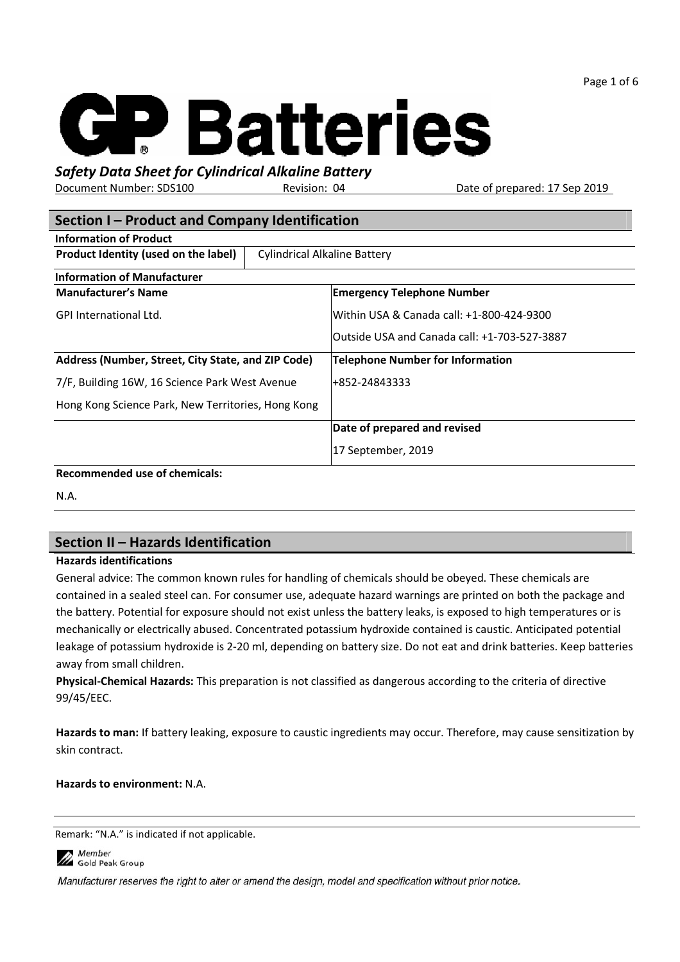Page 1 of 6



# Safety Data Sheet for Cylindrical Alkaline Battery

Document Number: SDS100 Revision: 04 Date of prepared: 17 Sep 2019

| Section I - Product and Company Identification     |                                     |                                              |  |  |
|----------------------------------------------------|-------------------------------------|----------------------------------------------|--|--|
| <b>Information of Product</b>                      |                                     |                                              |  |  |
| Product Identity (used on the label)               | <b>Cylindrical Alkaline Battery</b> |                                              |  |  |
| <b>Information of Manufacturer</b>                 |                                     |                                              |  |  |
| <b>Manufacturer's Name</b>                         |                                     | <b>Emergency Telephone Number</b>            |  |  |
| <b>GPI International Ltd.</b>                      |                                     | Within USA & Canada call: +1-800-424-9300    |  |  |
|                                                    |                                     | Outside USA and Canada call: +1-703-527-3887 |  |  |
| Address (Number, Street, City State, and ZIP Code) |                                     | <b>Telephone Number for Information</b>      |  |  |
| 7/F, Building 16W, 16 Science Park West Avenue     |                                     | +852-24843333                                |  |  |
| Hong Kong Science Park, New Territories, Hong Kong |                                     |                                              |  |  |
|                                                    |                                     | Date of prepared and revised                 |  |  |
|                                                    |                                     | 17 September, 2019                           |  |  |
| <b>Recommended use of chemicals:</b>               |                                     |                                              |  |  |

N.A.

# Section II – Hazards Identification

#### Hazards identifications

General advice: The common known rules for handling of chemicals should be obeyed. These chemicals are contained in a sealed steel can. For consumer use, adequate hazard warnings are printed on both the package and the battery. Potential for exposure should not exist unless the battery leaks, is exposed to high temperatures or is mechanically or electrically abused. Concentrated potassium hydroxide contained is caustic. Anticipated potential leakage of potassium hydroxide is 2-20 ml, depending on battery size. Do not eat and drink batteries. Keep batteries away from small children.

Physical-Chemical Hazards: This preparation is not classified as dangerous according to the criteria of directive 99/45/EEC.

Hazards to man: If battery leaking, exposure to caustic ingredients may occur. Therefore, may cause sensitization by skin contract.

#### Hazards to environment: N.A.

Remark: "N.A." is indicated if not applicable.

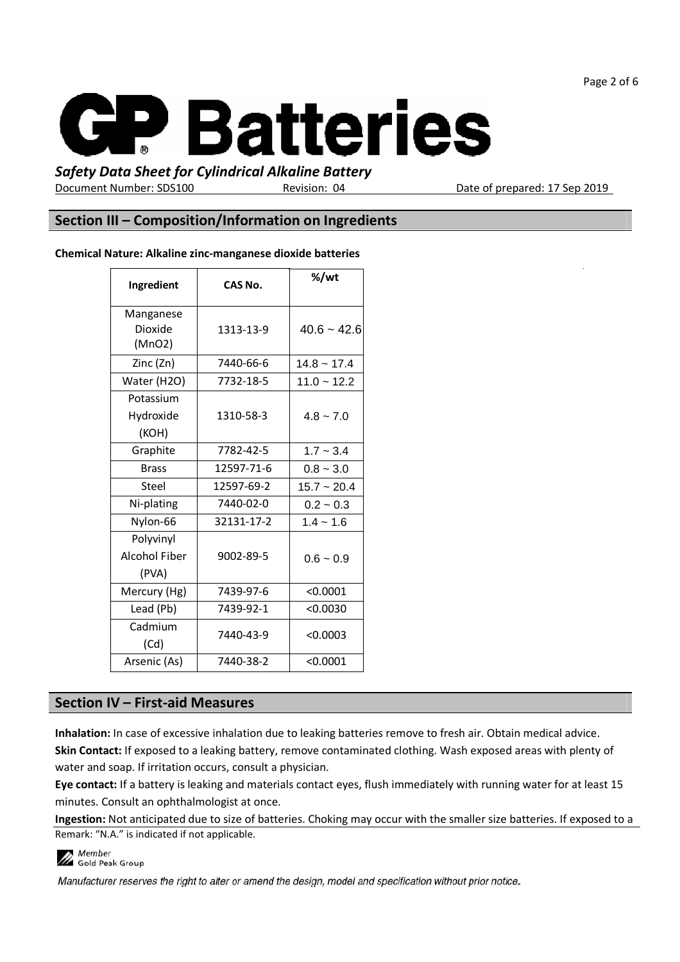Page 2 of 6



### Safety Data Sheet for Cylindrical Alkaline Battery

Document Number: SDS100 Revision: 04

Date of prepared: 17 Sep 2019

### Section III – Composition/Information on Ingredients

#### Chemical Nature: Alkaline zinc-manganese dioxide batteries

| Ingredient                                 | CAS No.    | %/wt             |
|--------------------------------------------|------------|------------------|
| Manganese<br>Dioxide<br>(MnO2)             | 1313-13-9  | $40.6 - 42.6$    |
| Zinc (Zn)                                  | 7440-66-6  | $14.8 \sim 17.4$ |
| Water (H2O)                                | 7732-18-5  | $11.0 - 12.2$    |
| Potassium<br>Hydroxide<br>(KOH)            | 1310-58-3  | $4.8 - 7.0$      |
| Graphite                                   | 7782-42-5  | $1.7 - 3.4$      |
| <b>Brass</b>                               | 12597-71-6 | $0.8 - 3.0$      |
| Steel                                      | 12597-69-2 | $15.7 - 20.4$    |
| Ni-plating                                 | 7440-02-0  | $0.2 - 0.3$      |
| Nylon-66                                   | 32131-17-2 | $1.4 - 1.6$      |
| Polyvinyl<br><b>Alcohol Fiber</b><br>(PVA) | 9002-89-5  | $0.6 - 0.9$      |
| Mercury (Hg)                               | 7439-97-6  | < 0.0001         |
| Lead (Pb)                                  | 7439-92-1  | < 0.0030         |
| Cadmium<br>(Cd)                            | 7440-43-9  | < 0.0003         |
| Arsenic (As)                               | 7440-38-2  | < 0.0001         |

### Section IV – First-aid Measures

Inhalation: In case of excessive inhalation due to leaking batteries remove to fresh air. Obtain medical advice.

Skin Contact: If exposed to a leaking battery, remove contaminated clothing. Wash exposed areas with plenty of water and soap. If irritation occurs, consult a physician.

Eye contact: If a battery is leaking and materials contact eyes, flush immediately with running water for at least 15 minutes. Consult an ophthalmologist at once.

Remark: "N.A." is indicated if not applicable. Ingestion: Not anticipated due to size of batteries. Choking may occur with the smaller size batteries. If exposed to a

**Member** Member<br>A Gold Peak Group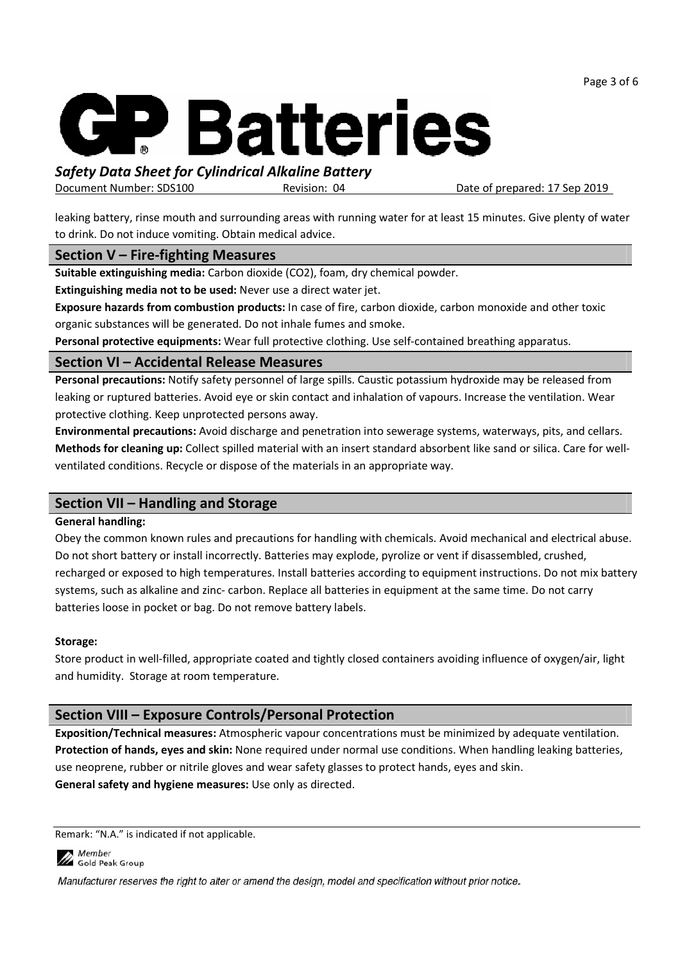Page 3 of 6



# Safety Data Sheet for Cylindrical Alkaline Battery

Document Number: SDS100 Revision: 04

Date of prepared: 17 Sep 2019

leaking battery, rinse mouth and surrounding areas with running water for at least 15 minutes. Give plenty of water to drink. Do not induce vomiting. Obtain medical advice.

### Section V – Fire-fighting Measures

Suitable extinguishing media: Carbon dioxide (CO2), foam, dry chemical powder.

Extinguishing media not to be used: Never use a direct water jet.

Exposure hazards from combustion products: In case of fire, carbon dioxide, carbon monoxide and other toxic organic substances will be generated. Do not inhale fumes and smoke.

Personal protective equipments: Wear full protective clothing. Use self-contained breathing apparatus.

### Section VI – Accidental Release Measures

Personal precautions: Notify safety personnel of large spills. Caustic potassium hydroxide may be released from leaking or ruptured batteries. Avoid eye or skin contact and inhalation of vapours. Increase the ventilation. Wear protective clothing. Keep unprotected persons away.

Environmental precautions: Avoid discharge and penetration into sewerage systems, waterways, pits, and cellars. Methods for cleaning up: Collect spilled material with an insert standard absorbent like sand or silica. Care for wellventilated conditions. Recycle or dispose of the materials in an appropriate way.

# Section VII – Handling and Storage

#### General handling:

Obey the common known rules and precautions for handling with chemicals. Avoid mechanical and electrical abuse. Do not short battery or install incorrectly. Batteries may explode, pyrolize or vent if disassembled, crushed, recharged or exposed to high temperatures. Install batteries according to equipment instructions. Do not mix battery systems, such as alkaline and zinc- carbon. Replace all batteries in equipment at the same time. Do not carry batteries loose in pocket or bag. Do not remove battery labels.

### Storage:

Store product in well-filled, appropriate coated and tightly closed containers avoiding influence of oxygen/air, light and humidity. Storage at room temperature.

# Section VIII – Exposure Controls/Personal Protection

Exposition/Technical measures: Atmospheric vapour concentrations must be minimized by adequate ventilation. Protection of hands, eyes and skin: None required under normal use conditions. When handling leaking batteries, use neoprene, rubber or nitrile gloves and wear safety glasses to protect hands, eyes and skin. General safety and hygiene measures: Use only as directed.

Remark: "N.A." is indicated if not applicable.

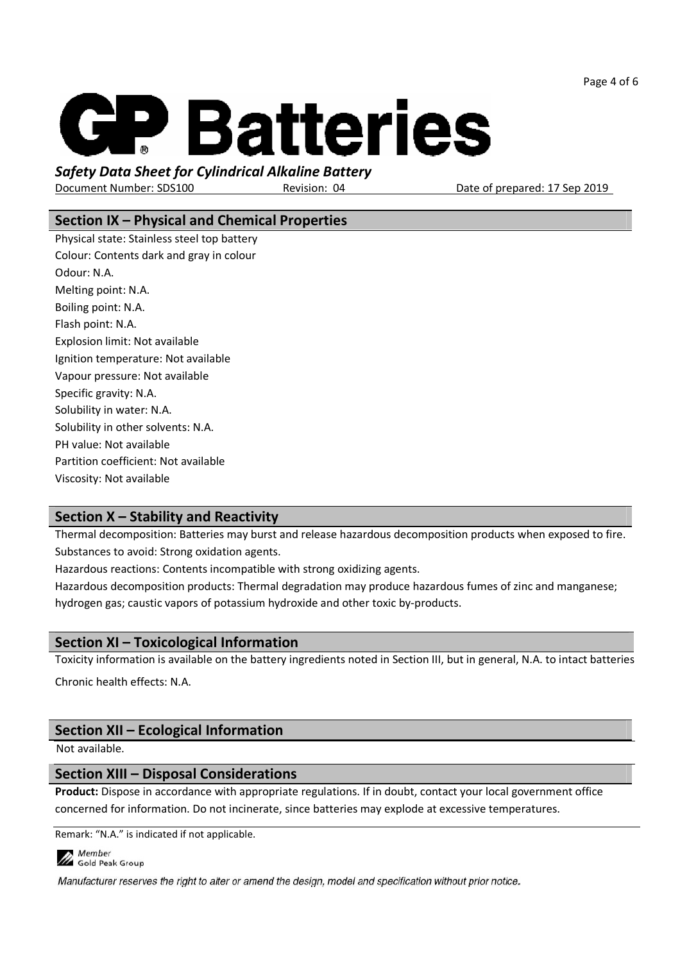Page 4 of 6



### Safety Data Sheet for Cylindrical Alkaline Battery

Document Number: SDS100 Revision: 04

Date of prepared: 17 Sep 2019

# Section IX – Physical and Chemical Properties

Physical state: Stainless steel top battery Colour: Contents dark and gray in colour Odour: N.A. Melting point: N.A. Boiling point: N.A. Flash point: N.A. Explosion limit: Not available Ignition temperature: Not available Vapour pressure: Not available Specific gravity: N.A. Solubility in water: N.A. Solubility in other solvents: N.A. PH value: Not available Partition coefficient: Not available Viscosity: Not available

# Section X – Stability and Reactivity

Thermal decomposition: Batteries may burst and release hazardous decomposition products when exposed to fire. Substances to avoid: Strong oxidation agents.

Hazardous reactions: Contents incompatible with strong oxidizing agents.

Hazardous decomposition products: Thermal degradation may produce hazardous fumes of zinc and manganese; hydrogen gas; caustic vapors of potassium hydroxide and other toxic by-products.

### Section XI – Toxicological Information

Toxicity information is available on the battery ingredients noted in Section III, but in general, N.A. to intact batteries

Chronic health effects: N.A.

# Section XII – Ecological Information

Not available.

#### Section XIII – Disposal Considerations

Product: Dispose in accordance with appropriate regulations. If in doubt, contact your local government office concerned for information. Do not incinerate, since batteries may explode at excessive temperatures.

Remark: "N.A." is indicated if not applicable.

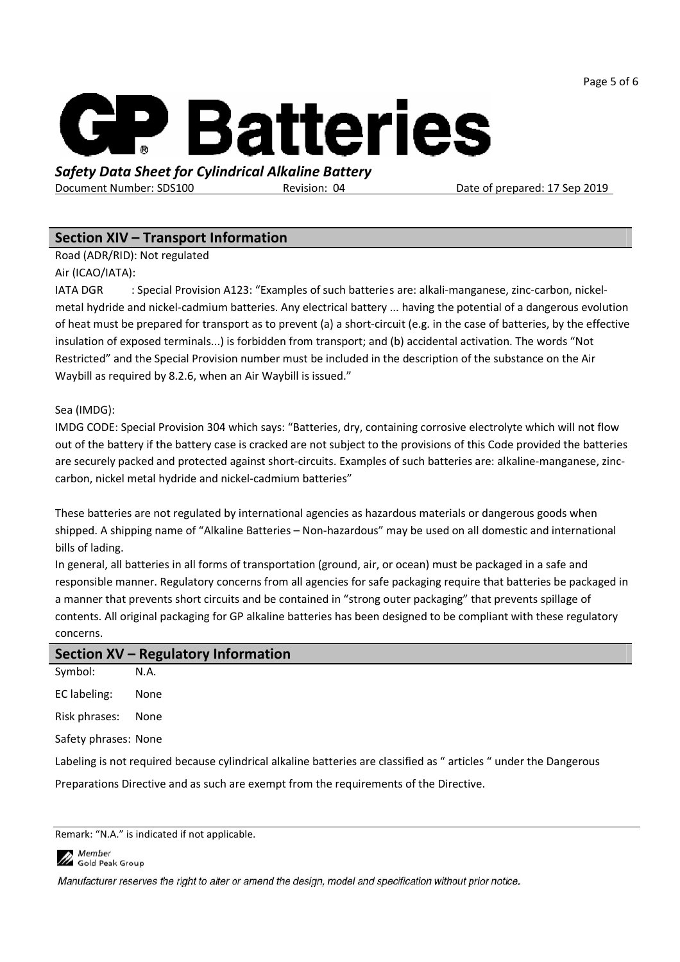Page 5 of 6



# Safety Data Sheet for Cylindrical Alkaline Battery

Document Number: SDS100 Revision: 04

Date of prepared: 17 Sep 2019

# Section XIV – Transport Information

Road (ADR/RID): Not regulated

Air (ICAO/IATA):

IATA DGR : Special Provision A123: "Examples of such batteries are: alkali-manganese, zinc-carbon, nickelmetal hydride and nickel-cadmium batteries. Any electrical battery ... having the potential of a dangerous evolution of heat must be prepared for transport as to prevent (a) a short-circuit (e.g. in the case of batteries, by the effective insulation of exposed terminals...) is forbidden from transport; and (b) accidental activation. The words "Not Restricted" and the Special Provision number must be included in the description of the substance on the Air Waybill as required by 8.2.6, when an Air Waybill is issued."

#### Sea (IMDG):

IMDG CODE: Special Provision 304 which says: "Batteries, dry, containing corrosive electrolyte which will not flow out of the battery if the battery case is cracked are not subject to the provisions of this Code provided the batteries are securely packed and protected against short-circuits. Examples of such batteries are: alkaline-manganese, zinccarbon, nickel metal hydride and nickel-cadmium batteries"

These batteries are not regulated by international agencies as hazardous materials or dangerous goods when shipped. A shipping name of "Alkaline Batteries – Non-hazardous" may be used on all domestic and international bills of lading.

In general, all batteries in all forms of transportation (ground, air, or ocean) must be packaged in a safe and responsible manner. Regulatory concerns from all agencies for safe packaging require that batteries be packaged in a manner that prevents short circuits and be contained in "strong outer packaging" that prevents spillage of contents. All original packaging for GP alkaline batteries has been designed to be compliant with these regulatory concerns.

| Section XV - Regulatory Information |                                                                                                                   |  |
|-------------------------------------|-------------------------------------------------------------------------------------------------------------------|--|
| Symbol:                             | N.A.                                                                                                              |  |
| EC labeling:                        | None                                                                                                              |  |
| Risk phrases:                       | None                                                                                                              |  |
| Safety phrases: None                |                                                                                                                   |  |
|                                     | Labeling is not required because cylindrical alkaline batteries are classified as "articles " under the Dangerous |  |
|                                     | Preparations Directive and as such are exempt from the requirements of the Directive.                             |  |

Remark: "N.A." is indicated if not applicable.